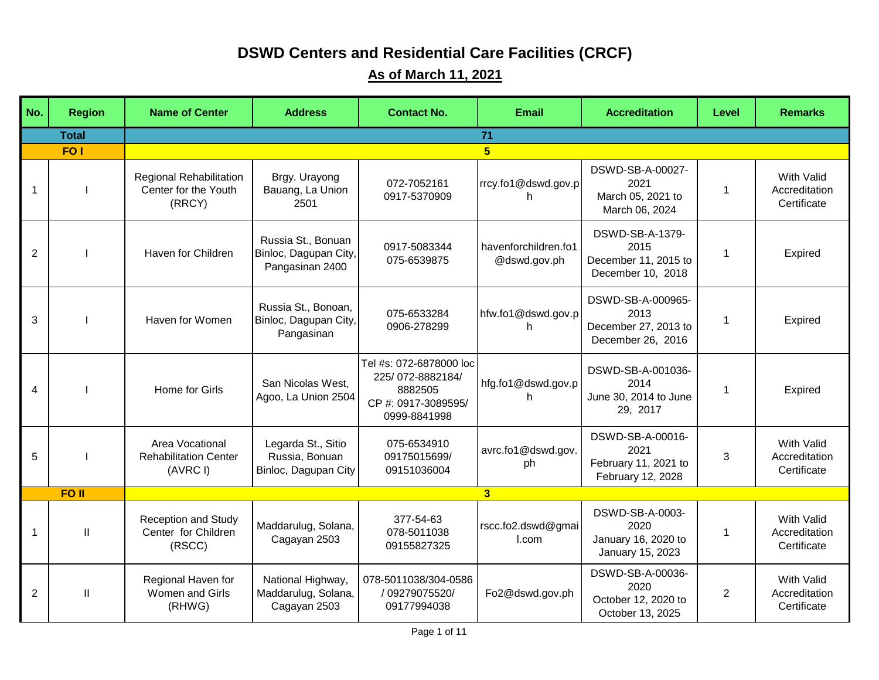## **DSWD Centers and Residential Care Facilities (CRCF)**

## **As of March 11, 2021**

| No. | <b>Region</b>    | <b>Name of Center</b>                                       | <b>Address</b>                                                 | <b>Contact No.</b>                                                                            | <b>Email</b>                         | <b>Accreditation</b>                                                   | Level       | <b>Remarks</b>                                    |
|-----|------------------|-------------------------------------------------------------|----------------------------------------------------------------|-----------------------------------------------------------------------------------------------|--------------------------------------|------------------------------------------------------------------------|-------------|---------------------------------------------------|
|     | <b>Total</b>     |                                                             |                                                                |                                                                                               | 71                                   |                                                                        |             |                                                   |
|     | FO <sub>1</sub>  |                                                             |                                                                |                                                                                               | 5 <sub>5</sub>                       |                                                                        |             |                                                   |
| 1   |                  | Regional Rehabilitation<br>Center for the Youth<br>(RRCY)   | Brgy. Urayong<br>Bauang, La Union<br>2501                      | 072-7052161<br>0917-5370909                                                                   | rrcy.fo1@dswd.gov.p<br>h.            | DSWD-SB-A-00027-<br>2021<br>March 05, 2021 to<br>March 06, 2024        | $\mathbf 1$ | With Valid<br>Accreditation<br>Certificate        |
| 2   |                  | Haven for Children                                          | Russia St., Bonuan<br>Binloc, Dagupan City,<br>Pangasinan 2400 | 0917-5083344<br>075-6539875                                                                   | havenforchildren.fo1<br>@dswd.gov.ph | DSWD-SB-A-1379-<br>2015<br>December 11, 2015 to<br>December 10, 2018   | -1          | Expired                                           |
| 3   |                  | Haven for Women                                             | Russia St., Bonoan,<br>Binloc, Dagupan City,<br>Pangasinan     | 075-6533284<br>0906-278299                                                                    | hfw.fo1@dswd.gov.p<br>h.             | DSWD-SB-A-000965-<br>2013<br>December 27, 2013 to<br>December 26, 2016 | $\mathbf 1$ | Expired                                           |
| 4   |                  | Home for Girls                                              | San Nicolas West,<br>Agoo, La Union 2504                       | Tel #s: 072-6878000 loc<br>225/072-8882184/<br>8882505<br>CP #: 0917-3089595/<br>0999-8841998 | hfg.fo1@dswd.gov.p<br>h.             | DSWD-SB-A-001036-<br>2014<br>June 30, 2014 to June<br>29, 2017         | $\mathbf 1$ | Expired                                           |
| 5   |                  | Area Vocational<br><b>Rehabilitation Center</b><br>(AVRC I) | Legarda St., Sitio<br>Russia, Bonuan<br>Binloc, Dagupan City   | 075-6534910<br>09175015699/<br>09151036004                                                    | avrc.fo1@dswd.gov.<br>ph             | DSWD-SB-A-00016-<br>2021<br>February 11, 2021 to<br>February 12, 2028  | 3           | With Valid<br>Accreditation<br>Certificate        |
|     | FO <sub>II</sub> |                                                             |                                                                |                                                                                               | 3 <sup>1</sup>                       |                                                                        |             |                                                   |
| 1   | Ш                | <b>Reception and Study</b><br>Center for Children<br>(RSCC) | Maddarulug, Solana,<br>Cagayan 2503                            | 377-54-63<br>078-5011038<br>09155827325                                                       | rscc.fo2.dswd@gmai<br>I.com          | DSWD-SB-A-0003-<br>2020<br>January 16, 2020 to<br>January 15, 2023     | $\mathbf 1$ | <b>With Valid</b><br>Accreditation<br>Certificate |
| 2   | Ш                | Regional Haven for<br>Women and Girls<br>(RHWG)             | National Highway,<br>Maddarulug, Solana,<br>Cagayan 2503       | 078-5011038/304-0586<br>/ 09279075520/<br>09177994038                                         | Fo2@dswd.gov.ph                      | DSWD-SB-A-00036-<br>2020<br>October 12, 2020 to<br>October 13, 2025    | 2           | With Valid<br>Accreditation<br>Certificate        |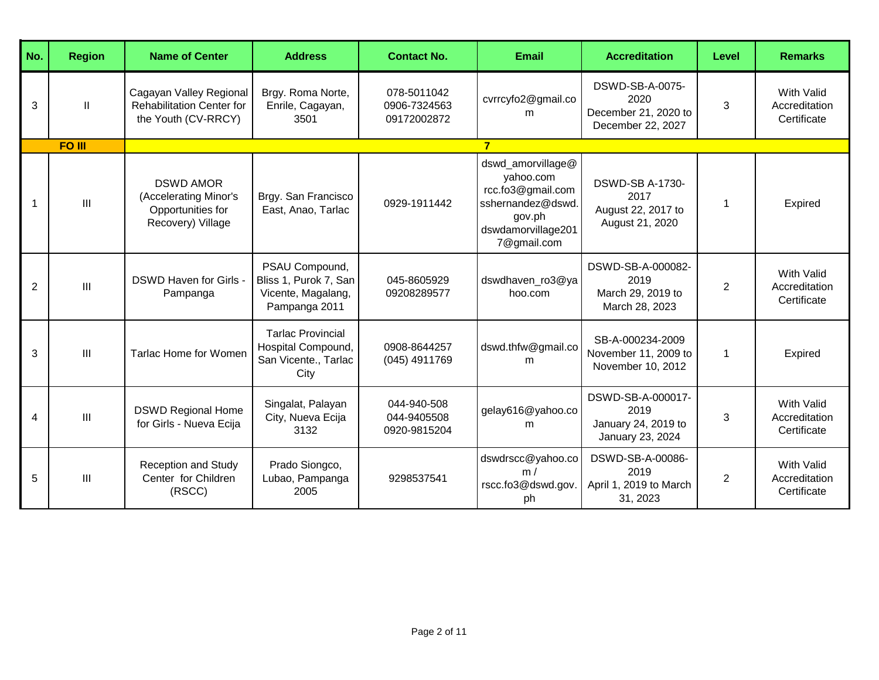| No.            | <b>Region</b> | <b>Name of Center</b>                                                               | <b>Address</b>                                                                 | <b>Contact No.</b>                         | <b>Email</b>                                                                                                            | <b>Accreditation</b>                                                    | Level          | <b>Remarks</b>                                    |
|----------------|---------------|-------------------------------------------------------------------------------------|--------------------------------------------------------------------------------|--------------------------------------------|-------------------------------------------------------------------------------------------------------------------------|-------------------------------------------------------------------------|----------------|---------------------------------------------------|
| 3              | Ш             | Cagayan Valley Regional<br><b>Rehabilitation Center for</b><br>the Youth (CV-RRCY)  | Brgy. Roma Norte,<br>Enrile, Cagayan,<br>3501                                  | 078-5011042<br>0906-7324563<br>09172002872 | cvrrcyfo2@gmail.co<br>m                                                                                                 | DSWD-SB-A-0075-<br>2020<br>December 21, 2020 to<br>December 22, 2027    | 3              | <b>With Valid</b><br>Accreditation<br>Certificate |
|                | <b>FO III</b> |                                                                                     |                                                                                |                                            |                                                                                                                         |                                                                         |                |                                                   |
|                | III           | <b>DSWD AMOR</b><br>(Accelerating Minor's<br>Opportunities for<br>Recovery) Village | Brgy. San Francisco<br>East, Anao, Tarlac                                      | 0929-1911442                               | dswd_amorvillage@<br>yahoo.com<br>rcc.fo3@gmail.com<br>sshernandez@dswd.<br>gov.ph<br>dswdamorvillage201<br>7@gmail.com | <b>DSWD-SB A-1730-</b><br>2017<br>August 22, 2017 to<br>August 21, 2020 | 1              | Expired                                           |
| $\overline{2}$ | Ш             | DSWD Haven for Girls -<br>Pampanga                                                  | PSAU Compound,<br>Bliss 1, Purok 7, San<br>Vicente, Magalang,<br>Pampanga 2011 | 045-8605929<br>09208289577                 | dswdhaven ro3@ya<br>hoo.com                                                                                             | DSWD-SB-A-000082-<br>2019<br>March 29, 2019 to<br>March 28, 2023        | $\overline{2}$ | <b>With Valid</b><br>Accreditation<br>Certificate |
| 3              | $\mathbf{H}$  | <b>Tarlac Home for Women</b>                                                        | <b>Tarlac Provincial</b><br>Hospital Compound,<br>San Vicente., Tarlac<br>City | 0908-8644257<br>(045) 4911769              | dswd.thfw@gmail.co<br>m                                                                                                 | SB-A-000234-2009<br>November 11, 2009 to<br>November 10, 2012           | $\mathbf{1}$   | Expired                                           |
| 4              | Ш             | <b>DSWD Regional Home</b><br>for Girls - Nueva Ecija                                | Singalat, Palayan<br>City, Nueva Ecija<br>3132                                 | 044-940-508<br>044-9405508<br>0920-9815204 | gelay616@yahoo.co<br>m                                                                                                  | DSWD-SB-A-000017-<br>2019<br>January 24, 2019 to<br>January 23, 2024    | 3              | <b>With Valid</b><br>Accreditation<br>Certificate |
| 5              | III           | <b>Reception and Study</b><br>Center for Children<br>(RSCC)                         | Prado Siongco,<br>Lubao, Pampanga<br>2005                                      | 9298537541                                 | dswdrscc@yahoo.co<br>m/<br>rscc.fo3@dswd.gov.<br>ph                                                                     | DSWD-SB-A-00086-<br>2019<br>April 1, 2019 to March<br>31, 2023          | $\overline{2}$ | With Valid<br>Accreditation<br>Certificate        |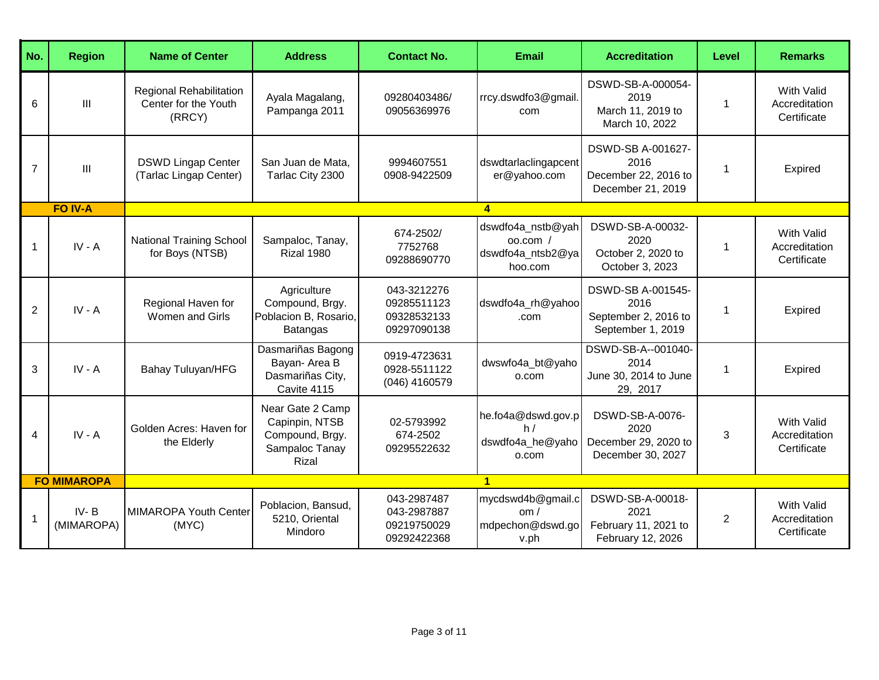| No.            | <b>Region</b>          | <b>Name of Center</b>                                     | <b>Address</b>                                                                   | <b>Contact No.</b>                                       | <b>Email</b>                                                     | <b>Accreditation</b>                                                   | Level          | <b>Remarks</b>                                    |
|----------------|------------------------|-----------------------------------------------------------|----------------------------------------------------------------------------------|----------------------------------------------------------|------------------------------------------------------------------|------------------------------------------------------------------------|----------------|---------------------------------------------------|
| 6              | III                    | Regional Rehabilitation<br>Center for the Youth<br>(RRCY) | Ayala Magalang,<br>Pampanga 2011                                                 | 09280403486/<br>09056369976                              | rrcy.dswdfo3@gmail.<br>com                                       | DSWD-SB-A-000054-<br>2019<br>March 11, 2019 to<br>March 10, 2022       | 1              | <b>With Valid</b><br>Accreditation<br>Certificate |
| $\overline{7}$ | III                    | <b>DSWD Lingap Center</b><br>(Tarlac Lingap Center)       | San Juan de Mata,<br>Tarlac City 2300                                            | 9994607551<br>0908-9422509                               | dswdtarlaclingapcent<br>er@yahoo.com                             | DSWD-SB A-001627-<br>2016<br>December 22, 2016 to<br>December 21, 2019 | 1              | Expired                                           |
|                | <b>FO IV-A</b>         |                                                           |                                                                                  |                                                          | $\blacktriangle$                                                 |                                                                        |                |                                                   |
| $\mathbf{1}$   | $IV - A$               | <b>National Training School</b><br>for Boys (NTSB)        | Sampaloc, Tanay,<br>Rizal 1980                                                   | 674-2502/<br>7752768<br>09288690770                      | dswdfo4a_nstb@yah<br>$00.$ com /<br>dswdfo4a_ntsb2@ya<br>hoo.com | DSWD-SB-A-00032-<br>2020<br>October 2, 2020 to<br>October 3, 2023      | 1              | <b>With Valid</b><br>Accreditation<br>Certificate |
| $\overline{2}$ | $IV - A$               | Regional Haven for<br><b>Women and Girls</b>              | Agriculture<br>Compound, Brgy.<br>Poblacion B, Rosario,<br><b>Batangas</b>       | 043-3212276<br>09285511123<br>09328532133<br>09297090138 | dswdfo4a rh@yahoo<br>.com                                        | DSWD-SB A-001545-<br>2016<br>September 2, 2016 to<br>September 1, 2019 | 1              | Expired                                           |
| 3              | $IV - A$               | <b>Bahay Tuluyan/HFG</b>                                  | Dasmariñas Bagong<br>Bayan- Area B<br>Dasmariñas City,<br>Cavite 4115            | 0919-4723631<br>0928-5511122<br>(046) 4160579            | dwswfo4a_bt@yaho<br>o.com                                        | DSWD-SB-A--001040-<br>2014<br>June 30, 2014 to June<br>29, 2017        | 1              | Expired                                           |
| 4              | $IV - A$               | Golden Acres: Haven for<br>the Elderly                    | Near Gate 2 Camp<br>Capinpin, NTSB<br>Compound, Brgy.<br>Sampaloc Tanay<br>Rizal | 02-5793992<br>674-2502<br>09295522632                    | he.fo4a@dswd.gov.p<br>h/<br>dswdfo4a_he@yaho<br>o.com            | DSWD-SB-A-0076-<br>2020<br>December 29, 2020 to<br>December 30, 2027   | 3              | <b>With Valid</b><br>Accreditation<br>Certificate |
|                | <b>FO MIMAROPA</b>     |                                                           |                                                                                  |                                                          | $\mathbf{1}$                                                     |                                                                        |                |                                                   |
| -1             | $IV - B$<br>(MIMAROPA) | MIMAROPA Youth Center<br>(MYC)                            | Poblacion, Bansud,<br>5210, Oriental<br>Mindoro                                  | 043-2987487<br>043-2987887<br>09219750029<br>09292422368 | mycdswd4b@gmail.c<br>om/<br>mdpechon@dswd.go<br>v.ph             | DSWD-SB-A-00018-<br>2021<br>February 11, 2021 to<br>February 12, 2026  | $\overline{2}$ | <b>With Valid</b><br>Accreditation<br>Certificate |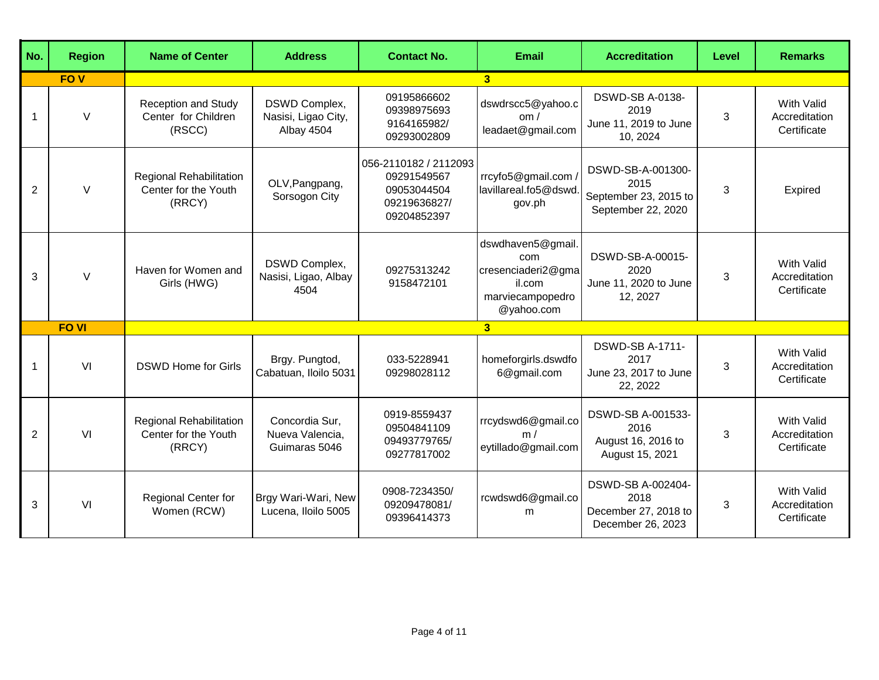| No.         | <b>Region</b> | <b>Name of Center</b>                                       | <b>Address</b>                                     | <b>Contact No.</b>                                                                 | <b>Email</b>                                                                               | <b>Accreditation</b>                                                     | Level | <b>Remarks</b>                                    |
|-------------|---------------|-------------------------------------------------------------|----------------------------------------------------|------------------------------------------------------------------------------------|--------------------------------------------------------------------------------------------|--------------------------------------------------------------------------|-------|---------------------------------------------------|
|             | <b>FOV</b>    |                                                             |                                                    |                                                                                    | 3 <sup>1</sup>                                                                             |                                                                          |       |                                                   |
| $\mathbf 1$ | $\vee$        | <b>Reception and Study</b><br>Center for Children<br>(RSCC) | DSWD Complex,<br>Nasisi, Ligao City,<br>Albay 4504 | 09195866602<br>09398975693<br>9164165982/<br>09293002809                           | dswdrscc5@yahoo.c<br>om /<br>leadaet@gmail.com                                             | <b>DSWD-SB A-0138-</b><br>2019<br>June 11, 2019 to June<br>10, 2024      | 3     | With Valid<br>Accreditation<br>Certificate        |
| 2           | $\vee$        | Regional Rehabilitation<br>Center for the Youth<br>(RRCY)   | OLV, Pangpang,<br>Sorsogon City                    | 056-2110182 / 2112093<br>09291549567<br>09053044504<br>09219636827/<br>09204852397 | rrcyfo5@gmail.com<br>lavillareal.fo5@dswd<br>gov.ph                                        | DSWD-SB-A-001300-<br>2015<br>September 23, 2015 to<br>September 22, 2020 | 3     | Expired                                           |
| 3           | $\vee$        | Haven for Women and<br>Girls (HWG)                          | DSWD Complex,<br>Nasisi, Ligao, Albay<br>4504      | 09275313242<br>9158472101                                                          | dswdhaven5@gmail.<br>com<br>cresenciaderi2@gma<br>il.com<br>marviecampopedro<br>@yahoo.com | DSWD-SB-A-00015-<br>2020<br>June 11, 2020 to June<br>12, 2027            | 3     | <b>With Valid</b><br>Accreditation<br>Certificate |
|             | <b>FO VI</b>  |                                                             |                                                    |                                                                                    | 3 <sup>1</sup>                                                                             |                                                                          |       |                                                   |
| $\mathbf 1$ | VI            | <b>DSWD Home for Girls</b>                                  | Brgy. Pungtod,<br>Cabatuan, Iloilo 5031            | 033-5228941<br>09298028112                                                         | homeforgirls.dswdfo<br>6@gmail.com                                                         | <b>DSWD-SB A-1711-</b><br>2017<br>June 23, 2017 to June<br>22, 2022      | 3     | <b>With Valid</b><br>Accreditation<br>Certificate |
| 2           | VI            | Regional Rehabilitation<br>Center for the Youth<br>(RRCY)   | Concordia Sur,<br>Nueva Valencia,<br>Guimaras 5046 | 0919-8559437<br>09504841109<br>09493779765/<br>09277817002                         | rrcydswd6@gmail.co<br>m/<br>eytillado@gmail.com                                            | DSWD-SB A-001533-<br>2016<br>August 16, 2016 to<br>August 15, 2021       | 3     | <b>With Valid</b><br>Accreditation<br>Certificate |
| 3           | VI            | Regional Center for<br>Women (RCW)                          | Brgy Wari-Wari, New<br>Lucena, Iloilo 5005         | 0908-7234350/<br>09209478081/<br>09396414373                                       | rcwdswd6@gmail.co<br>m                                                                     | DSWD-SB A-002404-<br>2018<br>December 27, 2018 to<br>December 26, 2023   | 3     | <b>With Valid</b><br>Accreditation<br>Certificate |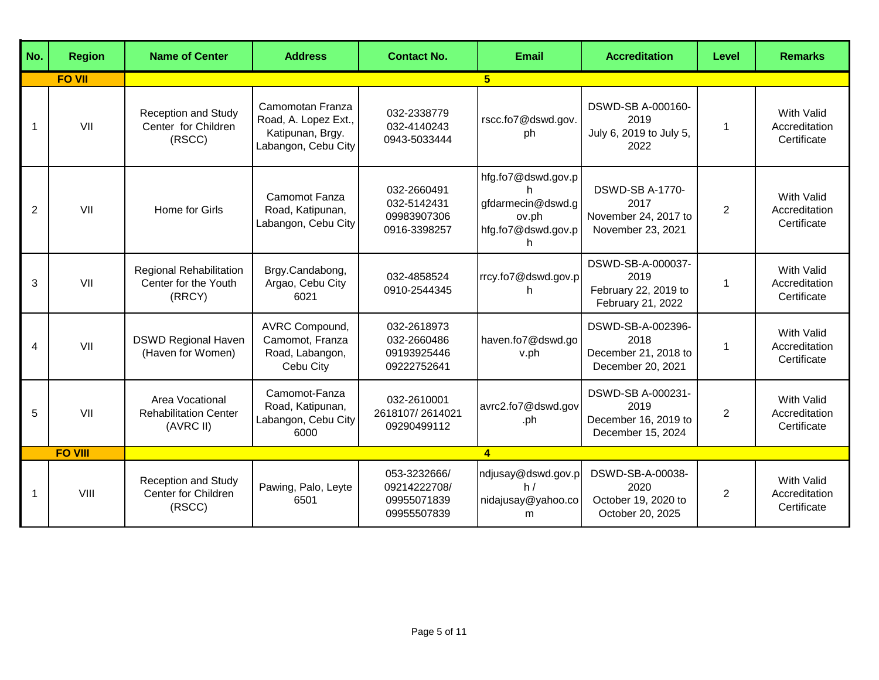| No.            | <b>Region</b>  | <b>Name of Center</b>                                        | <b>Address</b>                                                                      | <b>Contact No.</b>                                         | <b>Email</b>                                                                | <b>Accreditation</b>                                                        | Level          | <b>Remarks</b>                                    |
|----------------|----------------|--------------------------------------------------------------|-------------------------------------------------------------------------------------|------------------------------------------------------------|-----------------------------------------------------------------------------|-----------------------------------------------------------------------------|----------------|---------------------------------------------------|
|                | <b>FO VII</b>  |                                                              |                                                                                     |                                                            | 5                                                                           |                                                                             |                |                                                   |
| $\overline{1}$ | VII            | <b>Reception and Study</b><br>Center for Children<br>(RSCC)  | Camomotan Franza<br>Road, A. Lopez Ext.,<br>Katipunan, Brgy.<br>Labangon, Cebu City | 032-2338779<br>032-4140243<br>0943-5033444                 | rscc.fo7@dswd.gov.<br>ph                                                    | DSWD-SB A-000160-<br>2019<br>July 6, 2019 to July 5,<br>2022                | 1              | <b>With Valid</b><br>Accreditation<br>Certificate |
| $\overline{2}$ | VII            | Home for Girls                                               | Camomot Fanza<br>Road, Katipunan,<br>Labangon, Cebu City                            | 032-2660491<br>032-5142431<br>09983907306<br>0916-3398257  | hfg.fo7@dswd.gov.p<br>gfdarmecin@dswd.g<br>ov.ph<br>hfg.fo7@dswd.gov.p<br>h | <b>DSWD-SB A-1770-</b><br>2017<br>November 24, 2017 to<br>November 23, 2021 | 2              | <b>With Valid</b><br>Accreditation<br>Certificate |
| 3              | VII            | Regional Rehabilitation<br>Center for the Youth<br>(RRCY)    | Brgy.Candabong,<br>Argao, Cebu City<br>6021                                         | 032-4858524<br>0910-2544345                                | rrcy.fo7@dswd.gov.p<br>h.                                                   | DSWD-SB-A-000037-<br>2019<br>February 22, 2019 to<br>February 21, 2022      | 1              | <b>With Valid</b><br>Accreditation<br>Certificate |
| 4              | VII            | <b>DSWD Regional Haven</b><br>(Haven for Women)              | AVRC Compound,<br>Camomot, Franza<br>Road, Labangon,<br>Cebu City                   | 032-2618973<br>032-2660486<br>09193925446<br>09222752641   | haven.fo7@dswd.go<br>v.ph                                                   | DSWD-SB-A-002396-<br>2018<br>December 21, 2018 to<br>December 20, 2021      | 1              | <b>With Valid</b><br>Accreditation<br>Certificate |
| 5              | VII            | Area Vocational<br><b>Rehabilitation Center</b><br>(AVRC II) | Camomot-Fanza<br>Road, Katipunan,<br>Labangon, Cebu City<br>6000                    | 032-2610001<br>2618107/2614021<br>09290499112              | avrc2.fo7@dswd.gov<br>.ph                                                   | DSWD-SB A-000231-<br>2019<br>December 16, 2019 to<br>December 15, 2024      | $\overline{2}$ | <b>With Valid</b><br>Accreditation<br>Certificate |
|                | <b>FO VIII</b> |                                                              |                                                                                     |                                                            | $\blacktriangleleft$                                                        |                                                                             |                |                                                   |
| $\mathbf 1$    | VIII           | <b>Reception and Study</b><br>Center for Children<br>(RSCC)  | Pawing, Palo, Leyte<br>6501                                                         | 053-3232666/<br>09214222708/<br>09955071839<br>09955507839 | ndjusay@dswd.gov.p<br>h/<br>nidajusay@yahoo.co<br>m                         | DSWD-SB-A-00038-<br>2020<br>October 19, 2020 to<br>October 20, 2025         | $\overline{c}$ | With Valid<br>Accreditation<br>Certificate        |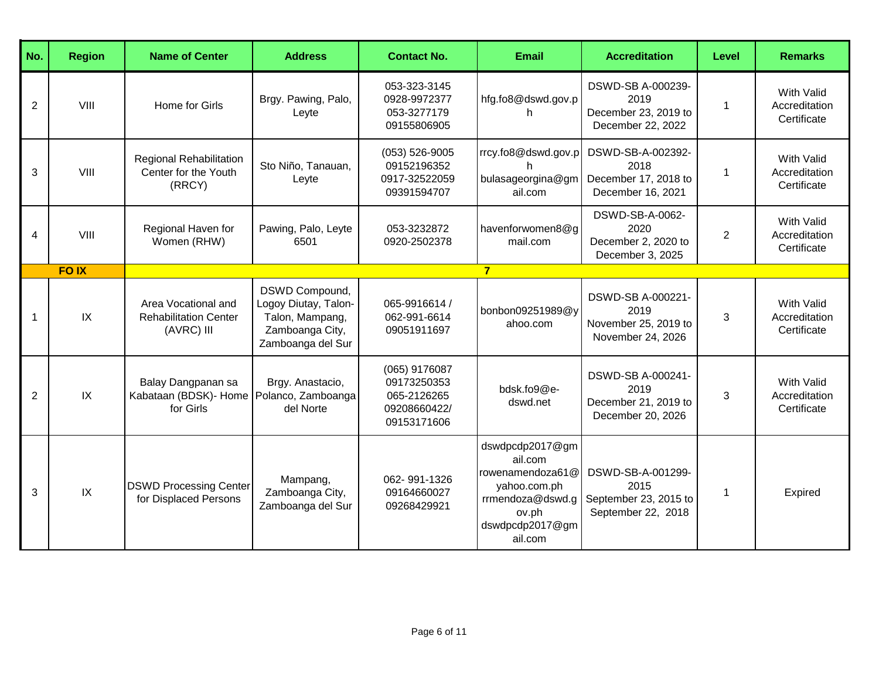| No.            | <b>Region</b> | <b>Name of Center</b>                                                       | <b>Address</b>                                                                                    | <b>Contact No.</b>                                                         | <b>Email</b>                                                                                                              | <b>Accreditation</b>                                                     | Level          | <b>Remarks</b>                                    |
|----------------|---------------|-----------------------------------------------------------------------------|---------------------------------------------------------------------------------------------------|----------------------------------------------------------------------------|---------------------------------------------------------------------------------------------------------------------------|--------------------------------------------------------------------------|----------------|---------------------------------------------------|
| $\overline{2}$ | VIII          | Home for Girls                                                              | Brgy. Pawing, Palo,<br>Leyte                                                                      | 053-323-3145<br>0928-9972377<br>053-3277179<br>09155806905                 | hfg.fo8@dswd.gov.p<br>h.                                                                                                  | DSWD-SB A-000239-<br>2019<br>December 23, 2019 to<br>December 22, 2022   | $\mathbf{1}$   | <b>With Valid</b><br>Accreditation<br>Certificate |
| 3              | VIII          | <b>Regional Rehabilitation</b><br>Center for the Youth<br>(RRCY)            | Sto Niño, Tanauan,<br>Leyte                                                                       | $(053) 526 - 9005$<br>09152196352<br>0917-32522059<br>09391594707          | rrcy.fo8@dswd.gov.p<br>bulasageorgina@gm<br>ail.com                                                                       | DSWD-SB-A-002392-<br>2018<br>December 17, 2018 to<br>December 16, 2021   | 1              | With Valid<br>Accreditation<br>Certificate        |
| 4              | VIII          | Regional Haven for<br>Women (RHW)                                           | Pawing, Palo, Leyte<br>6501                                                                       | 053-3232872<br>0920-2502378                                                | havenforwomen8@g<br>mail.com                                                                                              | DSWD-SB-A-0062-<br>2020<br>December 2, 2020 to<br>December 3, 2025       | $\overline{2}$ | <b>With Valid</b><br>Accreditation<br>Certificate |
|                | <b>FOIX</b>   |                                                                             |                                                                                                   |                                                                            | $\overline{7}$                                                                                                            |                                                                          |                |                                                   |
| $\mathbf 1$    | IX            | Area Vocational and<br><b>Rehabilitation Center</b><br>(AVRC) III           | DSWD Compound,<br>Logoy Diutay, Talon-<br>Talon, Mampang,<br>Zamboanga City,<br>Zamboanga del Sur | 065-9916614 /<br>062-991-6614<br>09051911697                               | bonbon09251989@y<br>ahoo.com                                                                                              | DSWD-SB A-000221-<br>2019<br>November 25, 2019 to<br>November 24, 2026   | 3              | <b>With Valid</b><br>Accreditation<br>Certificate |
| 2              | IX            | Balay Dangpanan sa<br>Kabataan (BDSK)- Home Polanco, Zamboanga<br>for Girls | Brgy. Anastacio,<br>del Norte                                                                     | (065) 9176087<br>09173250353<br>065-2126265<br>09208660422/<br>09153171606 | bdsk.fo9@e-<br>dswd.net                                                                                                   | DSWD-SB A-000241-<br>2019<br>December 21, 2019 to<br>December 20, 2026   | 3              | <b>With Valid</b><br>Accreditation<br>Certificate |
| 3              | IX            | <b>DSWD Processing Center</b><br>for Displaced Persons                      | Mampang,<br>Zamboanga City,<br>Zamboanga del Sur                                                  | 062-991-1326<br>09164660027<br>09268429921                                 | dswdpcdp2017@gm<br>ail.com<br>rowenamendoza61@<br>yahoo.com.ph<br>rrmendoza@dswd.g<br>ov.ph<br>dswdpcdp2017@gm<br>ail.com | DSWD-SB-A-001299-<br>2015<br>September 23, 2015 to<br>September 22, 2018 | $\mathbf 1$    | Expired                                           |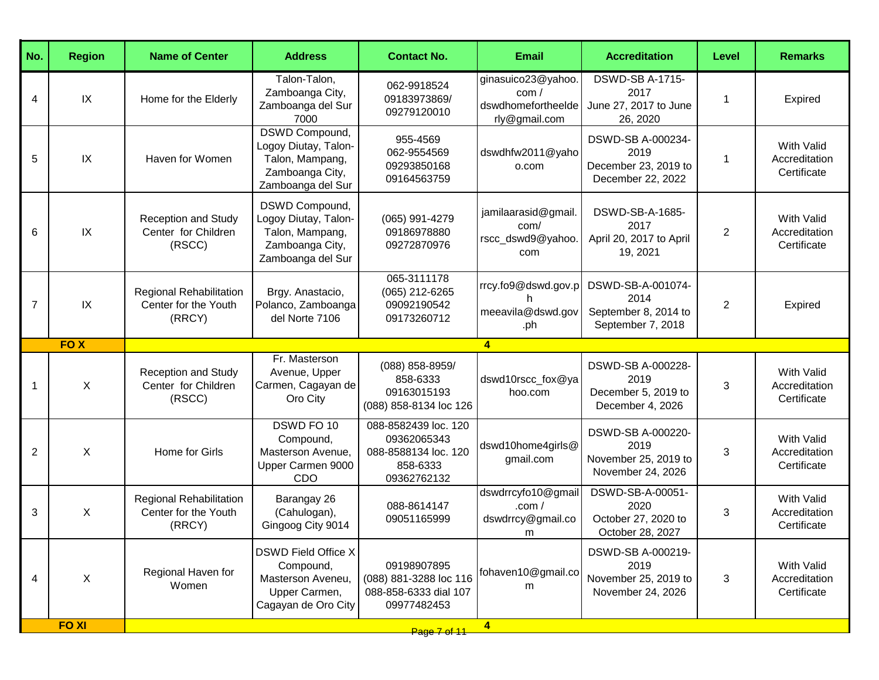| No.            | <b>Region</b> | <b>Name of Center</b>                                       | <b>Address</b>                                                                                    | <b>Contact No.</b>                                                                     | <b>Email</b>                                                      | <b>Accreditation</b>                                                   | Level          | <b>Remarks</b>                                    |
|----------------|---------------|-------------------------------------------------------------|---------------------------------------------------------------------------------------------------|----------------------------------------------------------------------------------------|-------------------------------------------------------------------|------------------------------------------------------------------------|----------------|---------------------------------------------------|
| 4              | IX            | Home for the Elderly                                        | Talon-Talon,<br>Zamboanga City,<br>Zamboanga del Sur<br>7000                                      | 062-9918524<br>09183973869/<br>09279120010                                             | ginasuico23@yahoo.<br>com/<br>dswdhomefortheelde<br>rly@gmail.com | <b>DSWD-SB A-1715-</b><br>2017<br>June 27, 2017 to June<br>26, 2020    |                | Expired                                           |
| 5              | IX            | Haven for Women                                             | DSWD Compound,<br>Logoy Diutay, Talon-<br>Talon, Mampang,<br>Zamboanga City,<br>Zamboanga del Sur | 955-4569<br>062-9554569<br>09293850168<br>09164563759                                  | dswdhfw2011@yaho<br>o.com                                         | DSWD-SB A-000234-<br>2019<br>December 23, 2019 to<br>December 22, 2022 | 1              | With Valid<br>Accreditation<br>Certificate        |
| 6              | IX            | <b>Reception and Study</b><br>Center for Children<br>(RSCC) | DSWD Compound,<br>Logoy Diutay, Talon-<br>Talon, Mampang,<br>Zamboanga City,<br>Zamboanga del Sur | (065) 991-4279<br>09186978880<br>09272870976                                           | jamilaarasid@gmail<br>com/<br>rscc_dswd9@yahoo.<br>com            | DSWD-SB-A-1685-<br>2017<br>April 20, 2017 to April<br>19, 2021         | $\overline{2}$ | <b>With Valid</b><br>Accreditation<br>Certificate |
| $\overline{7}$ | IX            | Regional Rehabilitation<br>Center for the Youth<br>(RRCY)   | Brgy. Anastacio,<br>Polanco, Zamboanga<br>del Norte 7106                                          | 065-3111178<br>(065) 212-6265<br>09092190542<br>09173260712                            | rrcy.fo9@dswd.gov.p<br>meeavila@dswd.gov<br>.ph                   | DSWD-SB-A-001074-<br>2014<br>September 8, 2014 to<br>September 7, 2018 | $\overline{2}$ | Expired                                           |
|                | <b>FOX</b>    |                                                             |                                                                                                   |                                                                                        | $\overline{4}$                                                    |                                                                        |                |                                                   |
| 1              | X             | <b>Reception and Study</b><br>Center for Children<br>(RSCC) | Fr. Masterson<br>Avenue, Upper<br>Carmen, Cagayan de<br>Oro City                                  | (088) 858-8959/<br>858-6333<br>09163015193<br>(088) 858-8134 loc 126                   | dswd10rscc_fox@ya<br>hoo.com                                      | DSWD-SB A-000228-<br>2019<br>December 5, 2019 to<br>December 4, 2026   | 3              | <b>With Valid</b><br>Accreditation<br>Certificate |
| $\overline{2}$ | X             | Home for Girls                                              | DSWD FO 10<br>Compound,<br>Masterson Avenue,<br>Upper Carmen 9000<br><b>CDO</b>                   | 088-8582439 loc. 120<br>09362065343<br>088-8588134 loc. 120<br>858-6333<br>09362762132 | dswd10home4girls@<br>gmail.com                                    | DSWD-SB A-000220-<br>2019<br>November 25, 2019 to<br>November 24, 2026 | 3              | <b>With Valid</b><br>Accreditation<br>Certificate |
| 3              | X             | Regional Rehabilitation<br>Center for the Youth<br>(RRCY)   | Barangay 26<br>(Cahulogan),<br>Gingoog City 9014                                                  | 088-8614147<br>09051165999                                                             | dswdrrcyfo10@gmail<br>.com $/$<br>dswdrrcy@gmail.co<br>m          | DSWD-SB-A-00051-<br>2020<br>October 27, 2020 to<br>October 28, 2027    | 3              | With Valid<br>Accreditation<br>Certificate        |
| 4              | X             | Regional Haven for<br>Women                                 | <b>DSWD Field Office X</b><br>Compound,<br>Masterson Aveneu,<br>Upper Carmen,                     | 09198907895<br>(088) 881-3288 loc 116<br>088-858-6333 dial 107                         | fohaven10@gmail.co<br>m                                           | DSWD-SB A-000219-<br>2019<br>November 25, 2019 to<br>November 24, 2026 | 3              | <b>With Valid</b><br>Accreditation<br>Certificate |
|                | <b>FOXI</b>   |                                                             | Cagayan de Oro City                                                                               | 09977482453                                                                            | 4                                                                 |                                                                        |                |                                                   |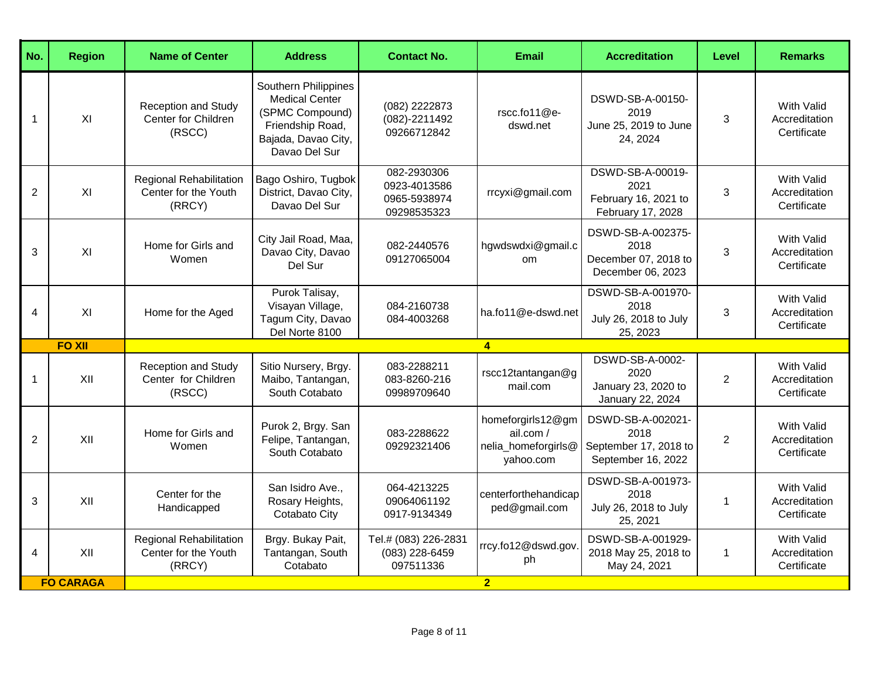| No.            | <b>Region</b>    | <b>Name of Center</b>                                            | <b>Address</b>                                                                                                               | <b>Contact No.</b>                                         | <b>Email</b>                                                       | <b>Accreditation</b>                                                     | Level          | <b>Remarks</b>                                    |
|----------------|------------------|------------------------------------------------------------------|------------------------------------------------------------------------------------------------------------------------------|------------------------------------------------------------|--------------------------------------------------------------------|--------------------------------------------------------------------------|----------------|---------------------------------------------------|
| $\mathbf{1}$   | XI               | <b>Reception and Study</b><br>Center for Children<br>(RSCC)      | Southern Philippines<br><b>Medical Center</b><br>(SPMC Compound)<br>Friendship Road,<br>Bajada, Davao City,<br>Davao Del Sur | (082) 2222873<br>(082)-2211492<br>09266712842              | rscc.fo11@e-<br>dswd.net                                           | DSWD-SB-A-00150-<br>2019<br>June 25, 2019 to June<br>24, 2024            | 3              | <b>With Valid</b><br>Accreditation<br>Certificate |
| $\overline{2}$ | XI               | <b>Regional Rehabilitation</b><br>Center for the Youth<br>(RRCY) | Bago Oshiro, Tugbok<br>District, Davao City,<br>Davao Del Sur                                                                | 082-2930306<br>0923-4013586<br>0965-5938974<br>09298535323 | rrcyxi@gmail.com                                                   | DSWD-SB-A-00019-<br>2021<br>February 16, 2021 to<br>February 17, 2028    | 3              | <b>With Valid</b><br>Accreditation<br>Certificate |
| 3              | XI               | Home for Girls and<br>Women                                      | City Jail Road, Maa,<br>Davao City, Davao<br>Del Sur                                                                         | 082-2440576<br>09127065004                                 | hgwdswdxi@gmail.c<br>om.                                           | DSWD-SB-A-002375-<br>2018<br>December 07, 2018 to<br>December 06, 2023   | 3              | <b>With Valid</b><br>Accreditation<br>Certificate |
| $\overline{4}$ | XI               | Home for the Aged                                                | Purok Talisay,<br>Visayan Village,<br>Tagum City, Davao<br>Del Norte 8100                                                    | 084-2160738<br>084-4003268                                 | ha.fo11@e-dswd.net                                                 | DSWD-SB-A-001970-<br>2018<br>July 26, 2018 to July<br>25, 2023           | 3              | <b>With Valid</b><br>Accreditation<br>Certificate |
|                | <b>FO XII</b>    |                                                                  |                                                                                                                              |                                                            | $\overline{4}$                                                     |                                                                          |                |                                                   |
| $\mathbf{1}$   | XII              | <b>Reception and Study</b><br>Center for Children<br>(RSCC)      | Sitio Nursery, Brgy.<br>Maibo, Tantangan,<br>South Cotabato                                                                  | 083-2288211<br>083-8260-216<br>09989709640                 | $rsc12$ tantangan@g<br>mail.com                                    | DSWD-SB-A-0002-<br>2020<br>January 23, 2020 to<br>January 22, 2024       | $\overline{2}$ | <b>With Valid</b><br>Accreditation<br>Certificate |
| 2              | XII              | Home for Girls and<br>Women                                      | Purok 2, Brgy. San<br>Felipe, Tantangan,<br>South Cotabato                                                                   | 083-2288622<br>09292321406                                 | homeforgirls12@gm<br>ail.com /<br>nelia_homeforgirls@<br>yahoo.com | DSWD-SB-A-002021-<br>2018<br>September 17, 2018 to<br>September 16, 2022 | $\overline{2}$ | <b>With Valid</b><br>Accreditation<br>Certificate |
| 3              | XII              | Center for the<br>Handicapped                                    | San Isidro Ave.,<br>Rosary Heights,<br>Cotabato City                                                                         | 064-4213225<br>09064061192<br>0917-9134349                 | centerforthehandicap<br>ped@gmail.com                              | DSWD-SB-A-001973-<br>2018<br>July 26, 2018 to July<br>25, 2021           | $\mathbf{1}$   | <b>With Valid</b><br>Accreditation<br>Certificate |
| $\overline{4}$ | XII              | Regional Rehabilitation<br>Center for the Youth<br>(RRCY)        | Brgy. Bukay Pait,<br>Tantangan, South<br>Cotabato                                                                            | Tel.# (083) 226-2831<br>(083) 228-6459<br>097511336        | rrcy.fo12@dswd.gov<br>ph                                           | DSWD-SB-A-001929-<br>2018 May 25, 2018 to<br>May 24, 2021                | $\mathbf{1}$   | With Valid<br>Accreditation<br>Certificate        |
|                | <b>FO CARAGA</b> |                                                                  |                                                                                                                              |                                                            | $\overline{2}$                                                     |                                                                          |                |                                                   |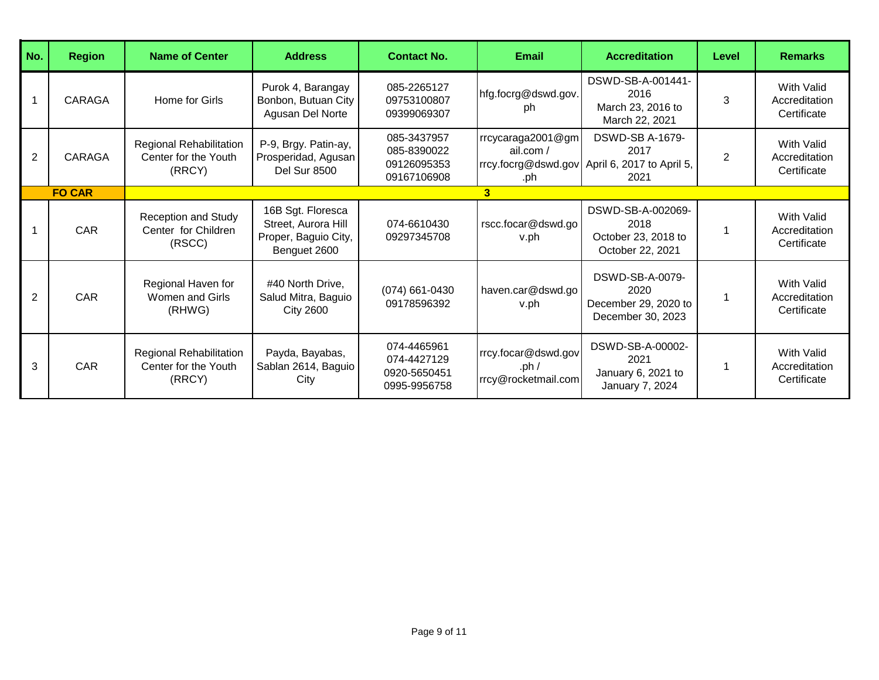| No.            | <b>Region</b> | <b>Name of Center</b>                                       | <b>Address</b>                                                                   | <b>Contact No.</b>                                         | <b>Email</b>                                          | <b>Accreditation</b>                                                                    | Level          | <b>Remarks</b>                             |
|----------------|---------------|-------------------------------------------------------------|----------------------------------------------------------------------------------|------------------------------------------------------------|-------------------------------------------------------|-----------------------------------------------------------------------------------------|----------------|--------------------------------------------|
|                | CARAGA        | Home for Girls                                              | Purok 4, Barangay<br>Bonbon, Butuan City<br>Agusan Del Norte                     | 085-2265127<br>09753100807<br>09399069307                  | hfg.focrg@dswd.gov.<br>ph                             | DSWD-SB-A-001441-<br>2016<br>March 23, 2016 to<br>March 22, 2021                        | 3              | With Valid<br>Accreditation<br>Certificate |
| 2              | CARAGA        | Regional Rehabilitation<br>Center for the Youth<br>(RRCY)   | P-9, Brgy. Patin-ay,<br>Prosperidad, Agusan<br><b>Del Sur 8500</b>               | 085-3437957<br>085-8390022<br>09126095353<br>09167106908   | rrcycaraga2001@gm<br>ail.com/<br>.ph                  | <b>DSWD-SB A-1679-</b><br>2017<br>rrcy.focrg@dswd.gov April 6, 2017 to April 5,<br>2021 | $\overline{2}$ | With Valid<br>Accreditation<br>Certificate |
|                | <b>FO CAR</b> |                                                             |                                                                                  |                                                            | 3                                                     |                                                                                         |                |                                            |
|                | CAR           | <b>Reception and Study</b><br>Center for Children<br>(RSCC) | 16B Sgt. Floresca<br>Street, Aurora Hill<br>Proper, Baguio City,<br>Benguet 2600 | 074-6610430<br>09297345708                                 | rscc.focar@dswd.go<br>v.ph                            | DSWD-SB-A-002069-<br>2018<br>October 23, 2018 to<br>October 22, 2021                    |                | With Valid<br>Accreditation<br>Certificate |
| $\overline{2}$ | CAR           | Regional Haven for<br>Women and Girls<br>(RHWG)             | #40 North Drive,<br>Salud Mitra, Baguio<br><b>City 2600</b>                      | $(074)$ 661-0430<br>09178596392                            | haven.car@dswd.go<br>v.ph                             | DSWD-SB-A-0079-<br>2020<br>December 29, 2020 to<br>December 30, 2023                    |                | With Valid<br>Accreditation<br>Certificate |
| 3              | <b>CAR</b>    | Regional Rehabilitation<br>Center for the Youth<br>(RRCY)   | Payda, Bayabas,<br>Sablan 2614, Baguio<br>City                                   | 074-4465961<br>074-4427129<br>0920-5650451<br>0995-9956758 | rrcy.focar@dswd.gov<br>.ph $/$<br>rrcy@rocketmail.com | DSWD-SB-A-00002-<br>2021<br>January 6, 2021 to<br>January 7, 2024                       |                | With Valid<br>Accreditation<br>Certificate |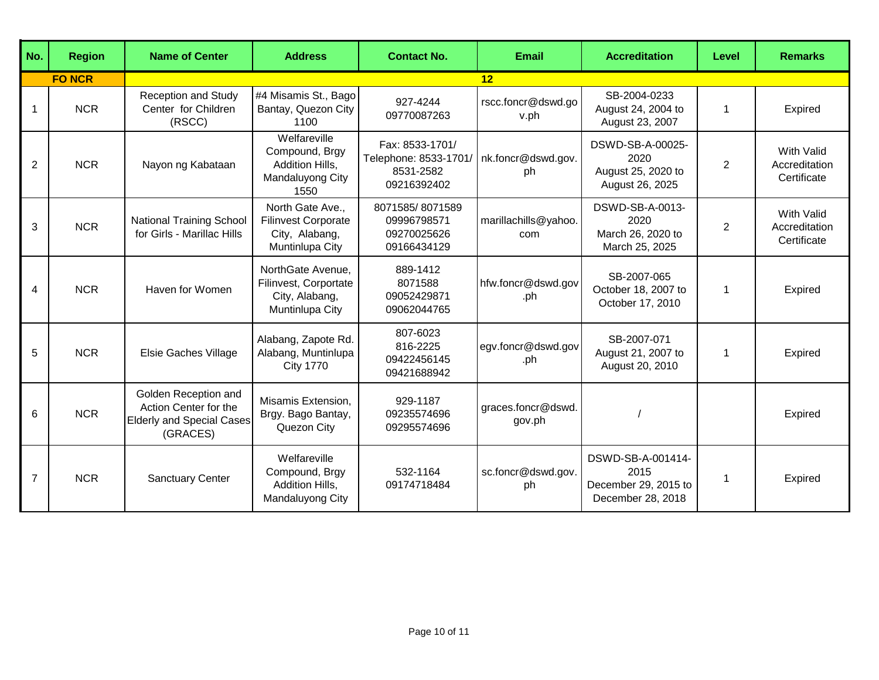| No.            | <b>Region</b> | <b>Name of Center</b>                                                                         | <b>Address</b>                                                                      | <b>Contact No.</b>                                                   | <b>Email</b>                 | <b>Accreditation</b>                                                   | Level          | <b>Remarks</b>                                    |
|----------------|---------------|-----------------------------------------------------------------------------------------------|-------------------------------------------------------------------------------------|----------------------------------------------------------------------|------------------------------|------------------------------------------------------------------------|----------------|---------------------------------------------------|
|                | <b>FO NCR</b> |                                                                                               |                                                                                     |                                                                      | 12                           |                                                                        |                |                                                   |
| -1             | <b>NCR</b>    | <b>Reception and Study</b><br>Center for Children<br>(RSCC)                                   | #4 Misamis St., Bago<br>Bantay, Quezon City<br>1100                                 | 927-4244<br>09770087263                                              | rscc.foncr@dswd.go<br>v.ph   | SB-2004-0233<br>August 24, 2004 to<br>August 23, 2007                  | $\mathbf{1}$   | Expired                                           |
| $\overline{2}$ | <b>NCR</b>    | Nayon ng Kabataan                                                                             | Welfareville<br>Compound, Brgy<br>Addition Hills,<br>Mandaluyong City<br>1550       | Fax: 8533-1701/<br>Telephone: 8533-1701/<br>8531-2582<br>09216392402 | nk.foncr@dswd.gov.<br>ph     | DSWD-SB-A-00025-<br>2020<br>August 25, 2020 to<br>August 26, 2025      | $\overline{2}$ | <b>With Valid</b><br>Accreditation<br>Certificate |
| 3              | <b>NCR</b>    | <b>National Training School</b><br>for Girls - Marillac Hills                                 | North Gate Ave.,<br><b>Filinvest Corporate</b><br>City, Alabang,<br>Muntinlupa City | 8071585/8071589<br>09996798571<br>09270025626<br>09166434129         | marillachills@yahoo.<br>com  | DSWD-SB-A-0013-<br>2020<br>March 26, 2020 to<br>March 25, 2025         | $\overline{2}$ | <b>With Valid</b><br>Accreditation<br>Certificate |
| 4              | <b>NCR</b>    | Haven for Women                                                                               | NorthGate Avenue,<br>Filinvest, Corportate<br>City, Alabang,<br>Muntinlupa City     | 889-1412<br>8071588<br>09052429871<br>09062044765                    | hfw.foncr@dswd.gov<br>.ph    | SB-2007-065<br>October 18, 2007 to<br>October 17, 2010                 | 1              | Expired                                           |
| 5              | <b>NCR</b>    | Elsie Gaches Village                                                                          | Alabang, Zapote Rd.<br>Alabang, Muntinlupa<br><b>City 1770</b>                      | 807-6023<br>816-2225<br>09422456145<br>09421688942                   | egv.foncr@dswd.gov<br>.ph    | SB-2007-071<br>August 21, 2007 to<br>August 20, 2010                   | 1              | Expired                                           |
| 6              | <b>NCR</b>    | Golden Reception and<br>Action Center for the<br><b>Elderly and Special Cases</b><br>(GRACES) | Misamis Extension,<br>Brgy. Bago Bantay,<br>Quezon City                             | 929-1187<br>09235574696<br>09295574696                               | graces.foncr@dswd.<br>gov.ph |                                                                        |                | Expired                                           |
| 7              | <b>NCR</b>    | <b>Sanctuary Center</b>                                                                       | Welfareville<br>Compound, Brgy<br>Addition Hills,<br>Mandaluyong City               | 532-1164<br>09174718484                                              | sc.foncr@dswd.gov.<br>ph     | DSWD-SB-A-001414-<br>2015<br>December 29, 2015 to<br>December 28, 2018 | 1              | Expired                                           |